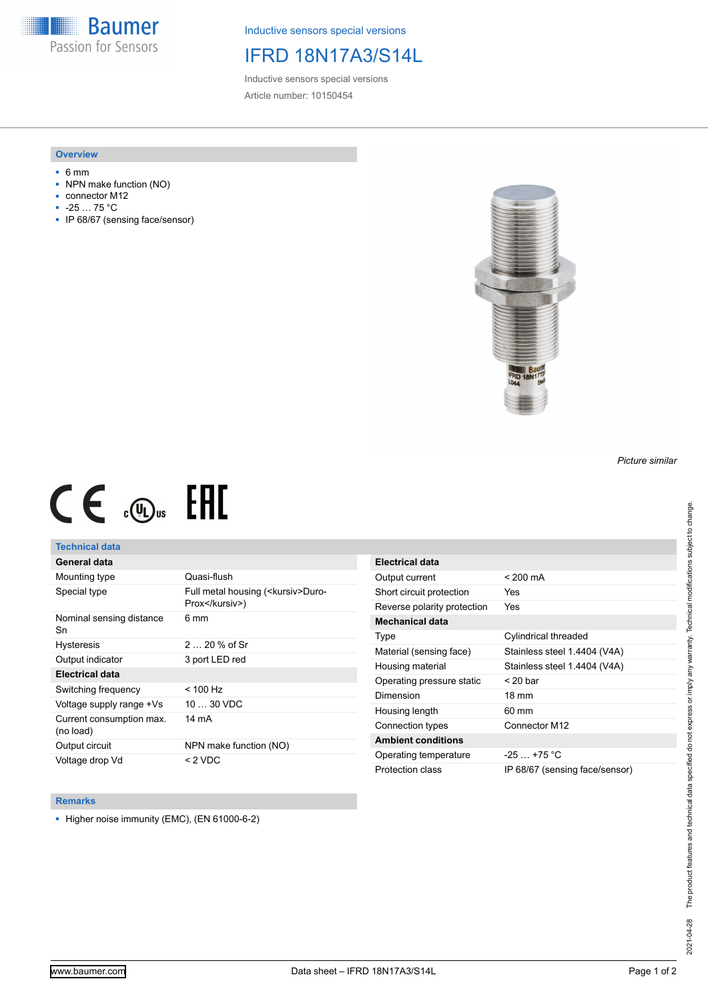**Baumer** Passion for Sensors

Inductive sensors special versions

## IFRD 18N17A3/S14L

Inductive sensors special versions Article number: 10150454

#### **Overview**

- 6 mm
- NPN make function (NO)
- connector M12
- -25 … 75 °C
- IP 68/67 (sensing face/sensor)



# $CE \mathcal{L}$  ( $\mathcal{L}$  and  $SE$

#### **Technical data**

### **General data**

| Mounting type                         | Quasi-flush                                            |
|---------------------------------------|--------------------------------------------------------|
| Special type                          | Full metal housing ( <kursiv>Duro-<br/>Prox</kursiv> ) |
| Nominal sensing distance<br>Sn        | 6 mm                                                   |
| <b>Hysteresis</b>                     | $220%$ of Sr                                           |
| Output indicator                      | 3 port LED red                                         |
| Electrical data                       |                                                        |
| Switching frequency                   | $< 100$ Hz                                             |
| Voltage supply range +Vs              | $1030$ VDC                                             |
| Current consumption max.<br>(no load) | 14 mA                                                  |
| Output circuit                        | NPN make function (NO)                                 |
| Voltage drop Vd                       | $<$ 2 VDC                                              |

| <b>Electrical data</b>      |                                |
|-----------------------------|--------------------------------|
| Output current              | $< 200 \text{ mA}$             |
| Short circuit protection    | Yes                            |
| Reverse polarity protection | Yes                            |
| Mechanical data             |                                |
| Type                        | Cylindrical threaded           |
| Material (sensing face)     | Stainless steel 1.4404 (V4A)   |
| Housing material            | Stainless steel 1.4404 (V4A)   |
| Operating pressure static   | $<$ 20 bar                     |
| Dimension                   | $18 \text{ mm}$                |
| Housing length              | 60 mm                          |
| Connection types            | Connector M12                  |
| <b>Ambient conditions</b>   |                                |
| Operating temperature       | $-25$ $+75$ °C                 |
| Protection class            | IP 68/67 (sensing face/sensor) |

#### **Remarks**

■ Higher noise immunity (EMC), (EN 61000-6-2)

*Picture similar*